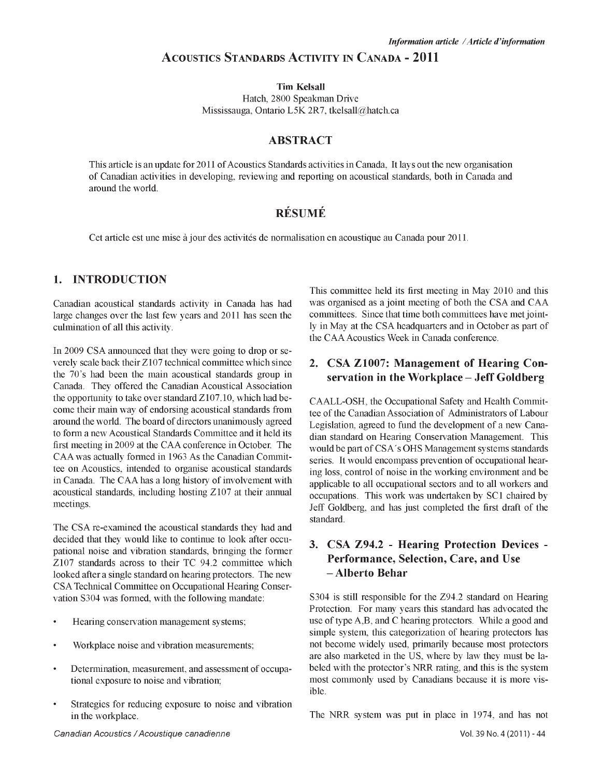## A **cOUSTICS STANDARDS ACTIVITY IN CANADA - 2011**

**Tim Kelsall** Hatch, 2800 Speakman Drive Mississauga, Ontario L5K 2R7, [tkelsall@hatch.ca](mailto:tkelsall@hatch.ca)

#### **ABSTRACT**

This article is an update for 2011 of Acoustics Standards activities in Canada, It lays out the new organisation of Canadian activities in developing, reviewing and reporting on acoustical standards, both in Canada and around the world.

# **r é s u m é**

Cet article est une mise à jour des activités de normalisation en acoustique au Canada pour 2011.

#### **1. INTRODUCTION**

Canadian acoustical standards activity in Canada has had large changes over the last few years and 2011 has seen the culmination of all this activity.

In 2009 CSA announced that they were going to drop or severely scale back their Z107 technical committee which since the 70's had been the main acoustical standards group in Canada. They offered the Canadian Acoustical Association the opportunity to take over standard Z107.10, which had become their main way of endorsing acoustical standards from around the world. The board of directors unanimously agreed to form a new Acoustical Standards Committee and it held its first meeting in 2009 at the CAA conference in October. The CAA was actually formed in 1963 As the Canadian Committee on Acoustics, intended to organise acoustical standards in Canada. The CAA has a long history of involvement with acoustical standards, including hosting Z107 at their annual meetings.

The CSA re-examined the acoustical standards they had and decided that they would like to continue to look after occupational noise and vibration standards, bringing the former Z107 standards across to their TC 94.2 committee which looked after a single standard on hearing protectors. The new CSA Technical Committee on Occupational Hearing Conservation S304 was formed, with the following mandate:

- Hearing conservation management systems;
- Workplace noise and vibration measurements;
- Determination, measurement, and assessment of occupational exposure to noise and vibration;
- Strategies for reducing exposure to noise and vibration in the workplace.

This committee held its first meeting in May 2010 and this was organised as a joint meeting of both the CSA and CAA committees. Since that time both committees have met jointly in May at the CSA headquarters and in October as part of the CAA Acoustics Week in Canada conference.

## **2. CSA Z1007: Management of Hearing Conservation in the Workplace - Jeff Goldberg**

CAALL-OSH, the Occupational Safety and Health Committee of the Canadian Association of Administrators of Labour Legislation, agreed to fund the development of a new Canadian standard on Hearing Conservation Management. This would be part of CSA's OHS Management systems standards series. It would encompass prevention of occupational hearing loss, control of noise in the working environment and be applicable to all occupational sectors and to all workers and occupations. This work was undertaken by SC1 chaired by Jeff Goldberg, and has just completed the first draft of the standard.

## **3. CSA Z94.2 - Hearing Protection Devices - Performance, Selection, Care, and Use - Alberto Behar**

S304 is still responsible for the Z94.2 standard on Hearing Protection. For many years this standard has advocated the use of type A,B, and C hearing protectors. While a good and simple system, this categorization of hearing protectors has not become widely used, primarily because most protectors are also marketed in the US, where by law they must be labeled with the protector's NRR rating, and this is the system most commonly used by Canadians because it is more visible.

The NRR system was put in place in 1974, and has not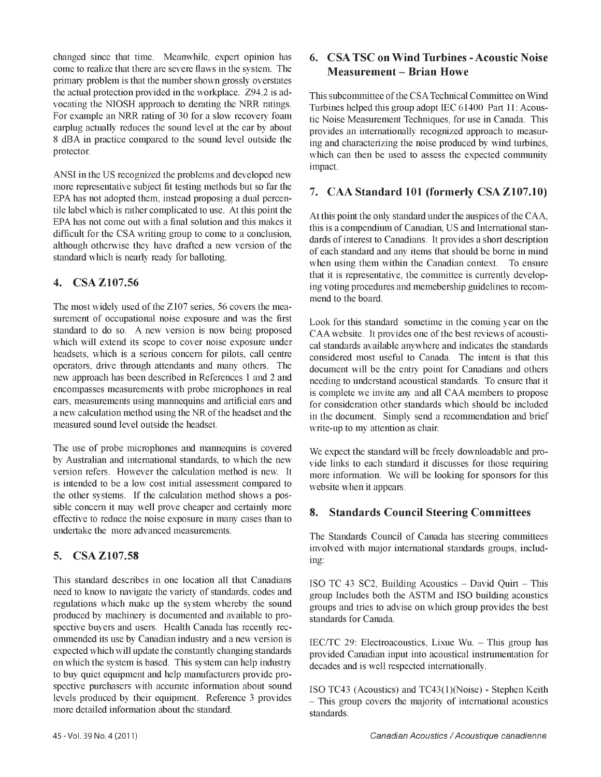changed since that time. Meanwhile, expert opinion has come to realize that there are severe flaws in the system. The primary problem is that the number shown grossly overstates the actual protection provided in the workplace. Z94.2 is advocating the NIOSH approach to derating the NRR ratings. For example an NRR rating of 30 for a slow recovery foam earplug actually reduces the sound level at the ear by about 8 dBA in practice compared to the sound level outside the protector.

ANSI in the US recognized the problems and developed new more representative subject fit testing methods but so far the EPA has not adopted them, instead proposing a dual percentile label which is rather complicated to use. At this point the EPA has not come out with a final solution and this makes it difficult for the CSA writing group to come to a conclusion, although otherwise they have drafted a new version of the standard which is nearly ready for balloting.

### **4. CSA Z107.56**

The most widely used of the Z107 series, 56 covers the measurement of occupational noise exposure and was the first standard to do so. A new version is now being proposed which will extend its scope to cover noise exposure under headsets, which is a serious concern for pilots, call centre operators, drive through attendants and many others. The new approach has been described in References 1 and 2 and encompasses measurements with probe microphones in real ears, measurements using mannequins and artificial ears and a new calculation method using the NR of the headset and the measured sound level outside the headset.

The use of probe microphones and mannequins is covered by Australian and international standards, to which the new version refers. However the calculation method is new. It is intended to be a low cost initial assessment compared to the other systems. If the calculation method shows a possible concern it may well prove cheaper and certainly more effective to reduce the noise exposure in many cases than to undertake the more advanced measurements.

### **5. CSA Z107.58**

This standard describes in one location all that Canadians need to know to navigate the variety of standards, codes and regulations which make up the system whereby the sound produced by machinery is documented and available to prospective buyers and users. Health Canada has recently recommended its use by Canadian industry and a new version is expected which will update the constantly changing standards on which the system is based. This system can help industry to buy quiet equipment and help manufacturers provide prospective purchasers with accurate information about sound levels produced by their equipment. Reference 3 provides more detailed information about the standard.

This subcommittee of the CSA Technical Committee on Wind Turbines helped this group adopt IEC 61400 Part 11: Acoustic Noise Measurement Techniques, for use in Canada. This provides an internationally recognized approach to measuring and characterizing the noise produced by wind turbines, which can then be used to assess the expected community impact.

# **7. CAA Standard 101 (formerly CSA Z107.10)**

At this point the only standard under the auspices of the CAA, this is a compendium of Canadian, US and International standards of interest to Canadians. It provides a short description of each standard and any items that should be borne in mind when using them within the Canadian context. To ensure that it is representative, the committee is currently developing voting procedures and memebership guidelines to recommend to the board.

Look for this standard sometime in the coming year on the CAA website. It provides one of the best reviews of acoustical standards available anywhere and indicates the standards considered most useful to Canada. The intent is that this document will be the entry point for Canadians and others needing to understand acoustical standards. To ensure that it is complete we invite any and all CAA members to propose for consideration other standards which should be included in the document. Simply send a recommendation and brief write-up to my attention as chair.

We expect the standard will be freely downloadable and provide links to each standard it discusses for those requiring more information. We will be looking for sponsors for this website when it appears.

# **8. Standards Council Steering Committees**

The Standards Council of Canada has steering committees involved with major international standards groups, including:

ISO TC 43 SC2, Building Acoustics - David Quirt - This group Includes both the ASTM and ISO building acoustics groups and tries to advise on which group provides the best standards for Canada.

IEC/TC 29: Electroacoustics, Lixue Wu. - This group has provided Canadian input into acoustical instrumentation for decades and is well respected internationally.

ISO TC43 (Acoustics) and TC43(1)(Noise) - Stephen Keith - This group covers the majority of international acoustics standards.